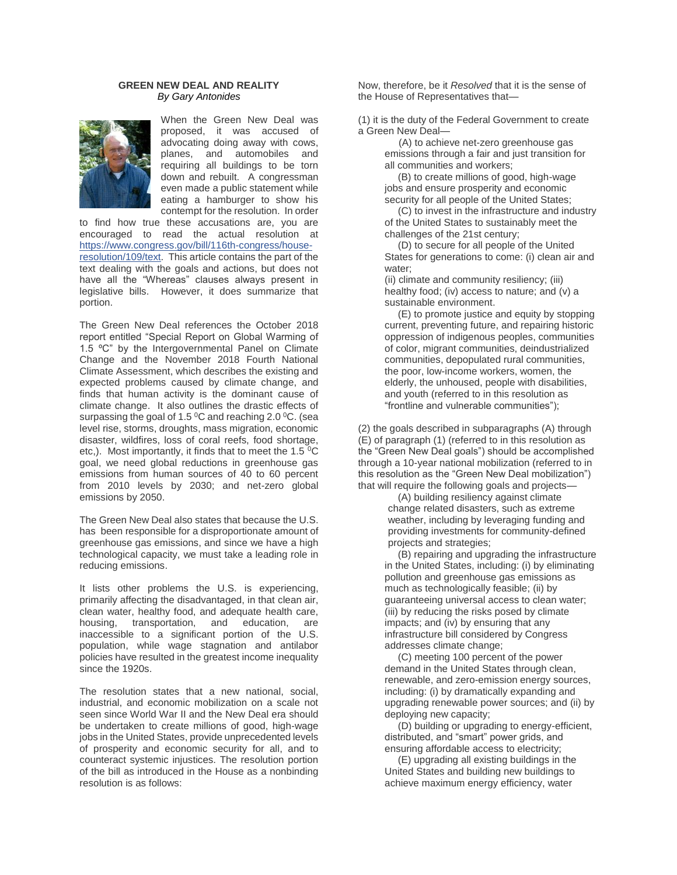## **GREEN NEW DEAL AND REALITY** *By Gary Antonides*



When the Green New Deal was proposed, it was accused of advocating doing away with cows, planes, and automobiles and requiring all buildings to be torn down and rebuilt. A congressman even made a public statement while eating a hamburger to show his contempt for the resolution. In order

to find how true these accusations are, you are encouraged to read the actual resolution at https://www.congress.gov/bill/116th-congress/houseresolution/109/text. This article contains the part of the text dealing with the goals and actions, but does not have all the "Whereas" clauses always present in legislative bills. However, it does summarize that portion.

The Green New Deal references the October 2018 report entitled "Special Report on Global Warming of 1.5 °C" by the Intergovernmental Panel on Climate Change and the November 2018 Fourth National Climate Assessment, which describes the existing and expected problems caused by climate change, and finds that human activity is the dominant cause of climate change. It also outlines the drastic effects of surpassing the goal of 1.5  $\mathrm{^0C}$  and reaching 2.0  $\mathrm{^0C}$ . (sea level rise, storms, droughts, mass migration, economic disaster, wildfires, loss of coral reefs, food shortage, etc.). Most importantly, it finds that to meet the 1.5  $^{\circ}$ C goal, we need global reductions in greenhouse gas emissions from human sources of 40 to 60 percent from 2010 levels by 2030; and net-zero global emissions by 2050.

The Green New Deal also states that because the U.S. has been responsible for a disproportionate amount of greenhouse gas emissions, and since we have a high technological capacity, we must take a leading role in reducing emissions.

It lists other problems the U.S. is experiencing, primarily affecting the disadvantaged, in that clean air, clean water, healthy food, and adequate health care, housing, transportation, and education, are inaccessible to a significant portion of the U.S. population, while wage stagnation and antilabor policies have resulted in the greatest income inequality since the 1920s.

The resolution states that a new national, social, industrial, and economic mobilization on a scale not seen since World War II and the New Deal era should be undertaken to create millions of good, high-wage jobs in the United States, provide unprecedented levels of prosperity and economic security for all, and to counteract systemic injustices. The resolution portion of the bill as introduced in the House as a nonbinding resolution is as follows:

Now, therefore, be it *Resolved* that it is the sense of the House of Representatives that—

(1) it is the duty of the Federal Government to create a Green New Deal—

> (A) to achieve net-zero greenhouse gas emissions through a fair and just transition for all communities and workers;

(B) to create millions of good, high-wage jobs and ensure prosperity and economic security for all people of the United States;

(C) to invest in the infrastructure and industry of the United States to sustainably meet the challenges of the 21st century;

(D) to secure for all people of the United States for generations to come: (i) clean air and water;

(ii) climate and community resiliency; (iii) healthy food; (iv) access to nature; and (v) a sustainable environment.

(E) to promote justice and equity by stopping current, preventing future, and repairing historic oppression of indigenous peoples, communities of color, migrant communities, deindustrialized communities, depopulated rural communities, the poor, low-income workers, women, the elderly, the unhoused, people with disabilities, and youth (referred to in this resolution as "frontline and vulnerable communities");

(2) the goals described in subparagraphs (A) through (E) of paragraph (1) (referred to in this resolution as the "Green New Deal goals") should be accomplished through a 10-year national mobilization (referred to in this resolution as the "Green New Deal mobilization") that will require the following goals and projects—

(A) building resiliency against climate change related disasters, such as extreme weather, including by leveraging funding and providing investments for community-defined projects and strategies;

(B) repairing and upgrading the infrastructure in the United States, including: (i) by eliminating pollution and greenhouse gas emissions as much as technologically feasible; (ii) by guaranteeing universal access to clean water; (iii) by reducing the risks posed by climate impacts; and (iv) by ensuring that any infrastructure bill considered by Congress addresses climate change;

(C) meeting 100 percent of the power demand in the United States through clean, renewable, and zero-emission energy sources, including: (i) by dramatically expanding and upgrading renewable power sources; and (ii) by deploying new capacity;

(D) building or upgrading to energy-efficient, distributed, and "smart" power grids, and ensuring affordable access to electricity;

(E) upgrading all existing buildings in the United States and building new buildings to achieve maximum energy efficiency, water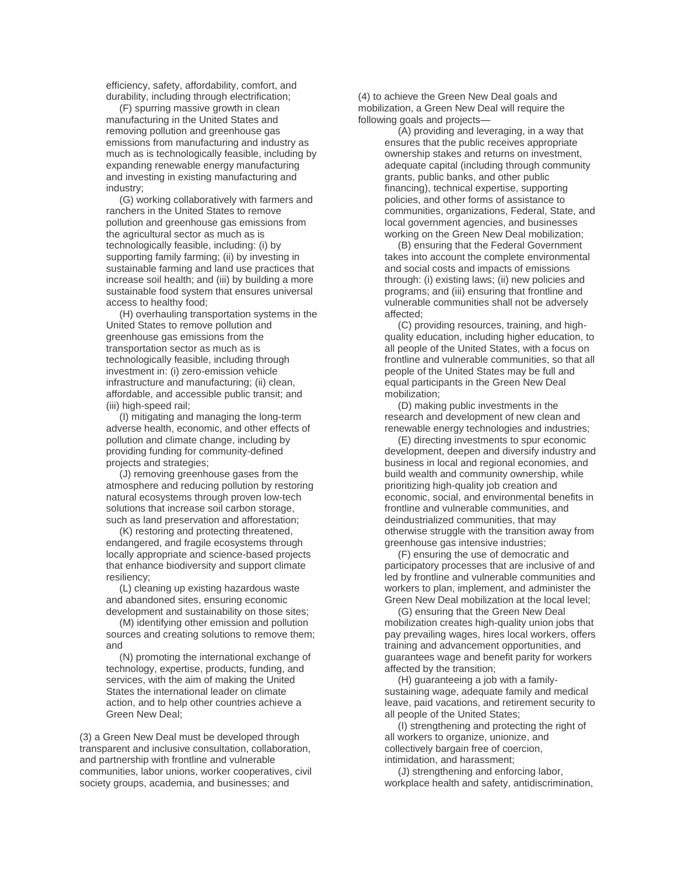efficiency, safety, affordability, comfort, and durability, including through electrification;

(F) spurring massive growth in clean manufacturing in the United States and removing pollution and greenhouse gas emissions from manufacturing and industry as much as is technologically feasible, including by expanding renewable energy manufacturing and investing in existing manufacturing and industry;

(G) working collaboratively with farmers and ranchers in the United States to remove pollution and greenhouse gas emissions from the agricultural sector as much as is technologically feasible, including: (i) by supporting family farming; (ii) by investing in sustainable farming and land use practices that increase soil health; and (iii) by building a more sustainable food system that ensures universal access to healthy food;

(H) overhauling transportation systems in the United States to remove pollution and greenhouse gas emissions from the transportation sector as much as is technologically feasible, including through investment in: (i) zero-emission vehicle infrastructure and manufacturing; (ii) clean, affordable, and accessible public transit; and (iii) high-speed rail;

(I) mitigating and managing the long-term adverse health, economic, and other effects of pollution and climate change, including by providing funding for community-defined projects and strategies;

(J) removing greenhouse gases from the atmosphere and reducing pollution by restoring natural ecosystems through proven low-tech solutions that increase soil carbon storage, such as land preservation and afforestation;

(K) restoring and protecting threatened, endangered, and fragile ecosystems through locally appropriate and science-based projects that enhance biodiversity and support climate resiliency;

(L) cleaning up existing hazardous waste and abandoned sites, ensuring economic development and sustainability on those sites;

(M) identifying other emission and pollution sources and creating solutions to remove them; and

(N) promoting the international exchange of technology, expertise, products, funding, and services, with the aim of making the United States the international leader on climate action, and to help other countries achieve a Green New Deal;

(3) a Green New Deal must be developed through transparent and inclusive consultation, collaboration, and partnership with frontline and vulnerable communities, labor unions, worker cooperatives, civil society groups, academia, and businesses; and

(4) to achieve the Green New Deal goals and mobilization, a Green New Deal will require the following goals and projects—

> (A) providing and leveraging, in a way that ensures that the public receives appropriate ownership stakes and returns on investment, adequate capital (including through community grants, public banks, and other public financing), technical expertise, supporting policies, and other forms of assistance to communities, organizations, Federal, State, and local government agencies, and businesses working on the Green New Deal mobilization;

(B) ensuring that the Federal Government takes into account the complete environmental and social costs and impacts of emissions through: (i) existing laws; (ii) new policies and programs; and (iii) ensuring that frontline and vulnerable communities shall not be adversely affected;

(C) providing resources, training, and highquality education, including higher education, to all people of the United States, with a focus on frontline and vulnerable communities, so that all people of the United States may be full and equal participants in the Green New Deal mobilization;

(D) making public investments in the research and development of new clean and renewable energy technologies and industries;

(E) directing investments to spur economic development, deepen and diversify industry and business in local and regional economies, and build wealth and community ownership, while prioritizing high-quality job creation and economic, social, and environmental benefits in frontline and vulnerable communities, and deindustrialized communities, that may otherwise struggle with the transition away from greenhouse gas intensive industries;

(F) ensuring the use of democratic and participatory processes that are inclusive of and led by frontline and vulnerable communities and workers to plan, implement, and administer the Green New Deal mobilization at the local level;

(G) ensuring that the Green New Deal mobilization creates high-quality union jobs that pay prevailing wages, hires local workers, offers training and advancement opportunities, and guarantees wage and benefit parity for workers affected by the transition;

(H) guaranteeing a job with a familysustaining wage, adequate family and medical leave, paid vacations, and retirement security to all people of the United States;

(I) strengthening and protecting the right of all workers to organize, unionize, and collectively bargain free of coercion, intimidation, and harassment;

(J) strengthening and enforcing labor, workplace health and safety, antidiscrimination,